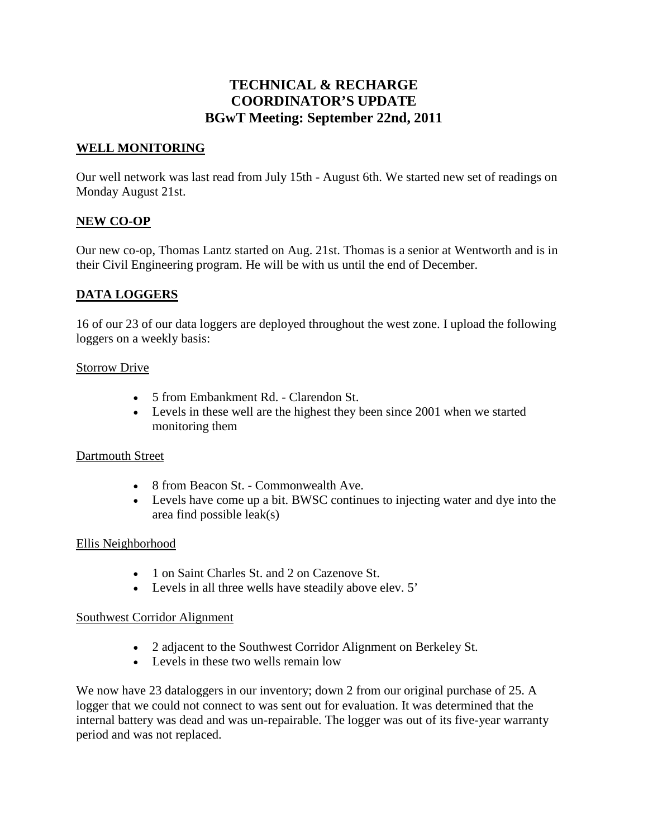# **TECHNICAL & RECHARGE COORDINATOR'S UPDATE BGwT Meeting: September 22nd, 2011**

## **WELL MONITORING**

Our well network was last read from July 15th - August 6th. We started new set of readings on Monday August 21st.

### **NEW CO-OP**

Our new co-op, Thomas Lantz started on Aug. 21st. Thomas is a senior at Wentworth and is in their Civil Engineering program. He will be with us until the end of December.

### **DATA LOGGERS**

16 of our 23 of our data loggers are deployed throughout the west zone. I upload the following loggers on a weekly basis:

#### Storrow Drive

- 5 from Embankment Rd. Clarendon St.
- Levels in these well are the highest they been since 2001 when we started monitoring them

#### Dartmouth Street

- 8 from Beacon St. Commonwealth Ave.
- Levels have come up a bit. BWSC continues to injecting water and dye into the area find possible leak(s)

#### Ellis Neighborhood

- 1 on Saint Charles St. and 2 on Cazenove St.
- Levels in all three wells have steadily above elev. 5'

#### Southwest Corridor Alignment

- 2 adjacent to the Southwest Corridor Alignment on Berkeley St.
- Levels in these two wells remain low

We now have 23 dataloggers in our inventory; down 2 from our original purchase of 25. A logger that we could not connect to was sent out for evaluation. It was determined that the internal battery was dead and was un-repairable. The logger was out of its five-year warranty period and was not replaced.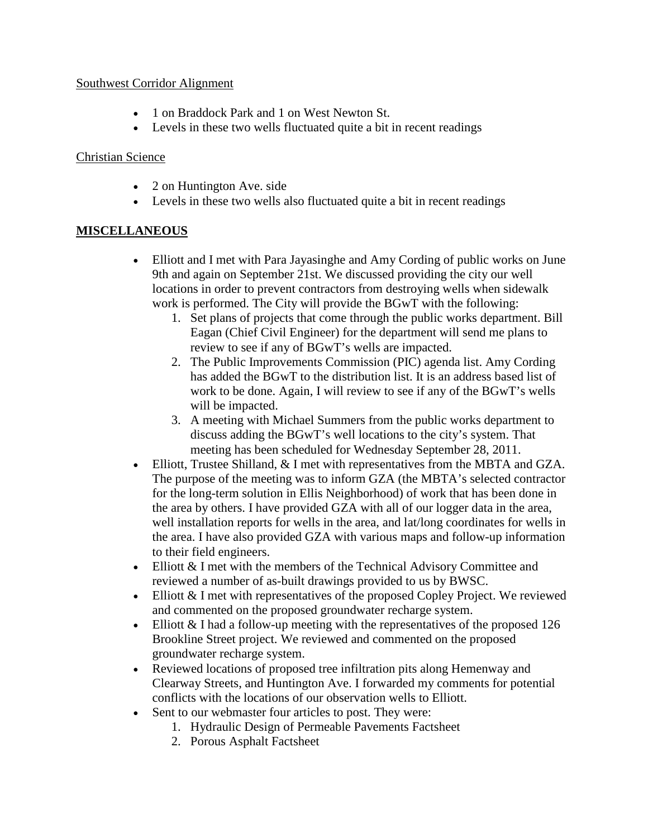### Southwest Corridor Alignment

- 1 on Braddock Park and 1 on West Newton St.
- Levels in these two wells fluctuated quite a bit in recent readings

# Christian Science

- 2 on Huntington Ave. side
- Levels in these two wells also fluctuated quite a bit in recent readings

# **MISCELLANEOUS**

- Elliott and I met with Para Jayasinghe and Amy Cording of public works on June 9th and again on September 21st. We discussed providing the city our well locations in order to prevent contractors from destroying wells when sidewalk work is performed. The City will provide the BGwT with the following:
	- 1. Set plans of projects that come through the public works department. Bill Eagan (Chief Civil Engineer) for the department will send me plans to review to see if any of BGwT's wells are impacted.
	- 2. The Public Improvements Commission (PIC) agenda list. Amy Cording has added the BGwT to the distribution list. It is an address based list of work to be done. Again, I will review to see if any of the BGwT's wells will be impacted.
	- 3. A meeting with Michael Summers from the public works department to discuss adding the BGwT's well locations to the city's system. That meeting has been scheduled for Wednesday September 28, 2011.
- Elliott, Trustee Shilland, & I met with representatives from the MBTA and GZA. The purpose of the meeting was to inform GZA (the MBTA's selected contractor for the long-term solution in Ellis Neighborhood) of work that has been done in the area by others. I have provided GZA with all of our logger data in the area, well installation reports for wells in the area, and lat/long coordinates for wells in the area. I have also provided GZA with various maps and follow-up information to their field engineers.
- Elliott & I met with the members of the Technical Advisory Committee and reviewed a number of as-built drawings provided to us by BWSC.
- Elliott & I met with representatives of the proposed Copley Project. We reviewed and commented on the proposed groundwater recharge system.
- Elliott & I had a follow-up meeting with the representatives of the proposed 126 Brookline Street project. We reviewed and commented on the proposed groundwater recharge system.
- Reviewed locations of proposed tree infiltration pits along Hemenway and Clearway Streets, and Huntington Ave. I forwarded my comments for potential conflicts with the locations of our observation wells to Elliott.
- Sent to our webmaster four articles to post. They were:
	- 1. Hydraulic Design of Permeable Pavements Factsheet
	- 2. Porous Asphalt Factsheet